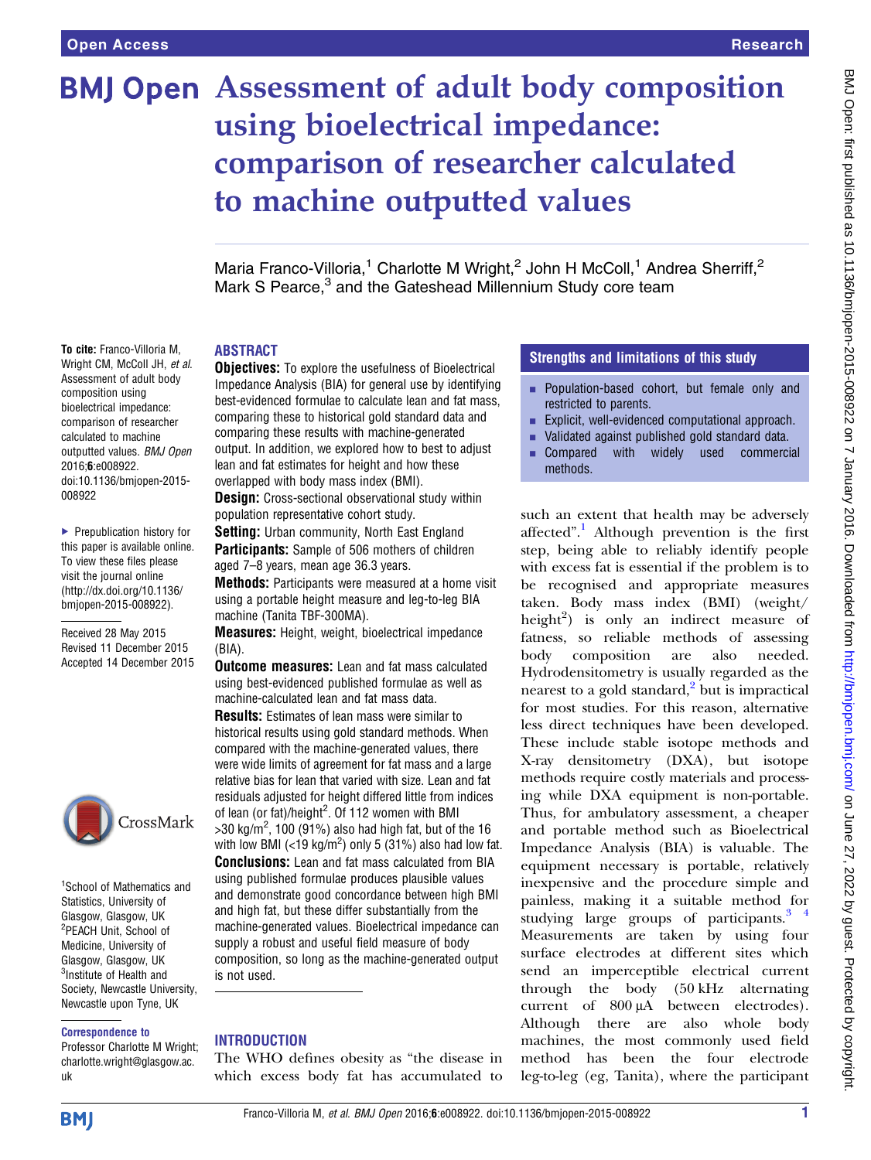To cite: Franco-Villoria M, Wright CM, McColl JH, et al. Assessment of adult body composition using bioelectrical impedance: comparison of researcher calculated to machine outputted values. BMJ Open

2016;6:e008922.

008922

doi:10.1136/bmjopen-2015-

▶ Prepublication history for this paper is available online. To view these files please visit the journal online [\(http://dx.doi.org/10.1136/](http://dx.doi.org/10.1136/bmjopen-2015-008922) [bmjopen-2015-008922](http://dx.doi.org/10.1136/bmjopen-2015-008922)). Received 28 May 2015 Revised 11 December 2015 Accepted 14 December 2015

<sup>1</sup> School of Mathematics and Statistics, University of Glasgow, Glasgow, UK <sup>2</sup>PEACH Unit, School of Medicine, University of Glasgow, Glasgow, UK <sup>3</sup>Institute of Health and Society, Newcastle University, Newcastle upon Tyne, UK

CrossMark

# **BMJ Open Assessment of adult body composition** using bioelectrical impedance: comparison of researcher calculated to machine outputted values

Maria Franco-Villoria,<sup>1</sup> Charlotte M Wright,<sup>2</sup> John H McColl,<sup>1</sup> Andrea Sherriff,<sup>2</sup> Mark S Pearce,<sup>3</sup> and the Gateshead Millennium Study core team

# ABSTRACT

**Objectives:** To explore the usefulness of Bioelectrical Impedance Analysis (BIA) for general use by identifying best-evidenced formulae to calculate lean and fat mass, comparing these to historical gold standard data and comparing these results with machine-generated output. In addition, we explored how to best to adjust lean and fat estimates for height and how these overlapped with body mass index (BMI).

**Design:** Cross-sectional observational study within population representative cohort study.

Setting: Urban community, North East England Participants: Sample of 506 mothers of children aged 7–8 years, mean age 36.3 years.

**Methods:** Participants were measured at a home visit using a portable height measure and leg-to-leg BIA machine (Tanita TBF-300MA).

Measures: Height, weight, bioelectrical impedance (BIA).

**Outcome measures:** Lean and fat mass calculated using best-evidenced published formulae as well as machine-calculated lean and fat mass data.

Results: Estimates of lean mass were similar to historical results using gold standard methods. When compared with the machine-generated values, there were wide limits of agreement for fat mass and a large relative bias for lean that varied with size. Lean and fat residuals adjusted for height differed little from indices of lean (or fat)/height<sup>2</sup>. Of 112 women with BMI  $>$ 30 kg/m<sup>2</sup>, 100 (91%) also had high fat, but of the 16 with low BMI (<19 kg/m<sup>2</sup>) only 5 (31%) also had low fat. **Conclusions:** Lean and fat mass calculated from BIA using published formulae produces plausible values and demonstrate good concordance between high BMI and high fat, but these differ substantially from the machine-generated values. Bioelectrical impedance can supply a robust and useful field measure of body composition, so long as the machine-generated output is not used.

# INTRODUCTION

The WHO defines obesity as "the disease in which excess body fat has accumulated to

# Strengths and limitations of this study

- **Population-based cohort, but female only and** restricted to parents.
- $\blacksquare$  Explicit, well-evidenced computational approach.
- 
- Validated against published gold standard data.<br>Compared with widely used commerci Compared with widely used commercial methods.

such an extent that health may be adversely affected".<sup>[1](#page-6-0)</sup> Although prevention is the first step, being able to reliably identify people with excess fat is essential if the problem is to be recognised and appropriate measures taken. Body mass index (BMI) (weight/ height<sup>2</sup>) is only an indirect measure of fatness, so reliable methods of assessing body composition are also needed. Hydrodensitometry is usually regarded as the nearest to a gold standard, $\frac{2}{3}$  $\frac{2}{3}$  $\frac{2}{3}$  but is impractical for most studies. For this reason, alternative less direct techniques have been developed. These include stable isotope methods and X-ray densitometry (DXA), but isotope methods require costly materials and processing while DXA equipment is non-portable. Thus, for ambulatory assessment, a cheaper and portable method such as Bioelectrical Impedance Analysis (BIA) is valuable. The equipment necessary is portable, relatively inexpensive and the procedure simple and painless, making it a suitable method for studying large groups of participants. $34$ Measurements are taken by using four surface electrodes at different sites which send an imperceptible electrical current through the body (50 kHz alternating current of 800 μA between electrodes). Although there are also whole body machines, the most commonly used field method has been the four electrode leg-to-leg (eg, Tanita), where the participant

uk

Correspondence to Professor Charlotte M Wright; charlotte.wright@glasgow.ac.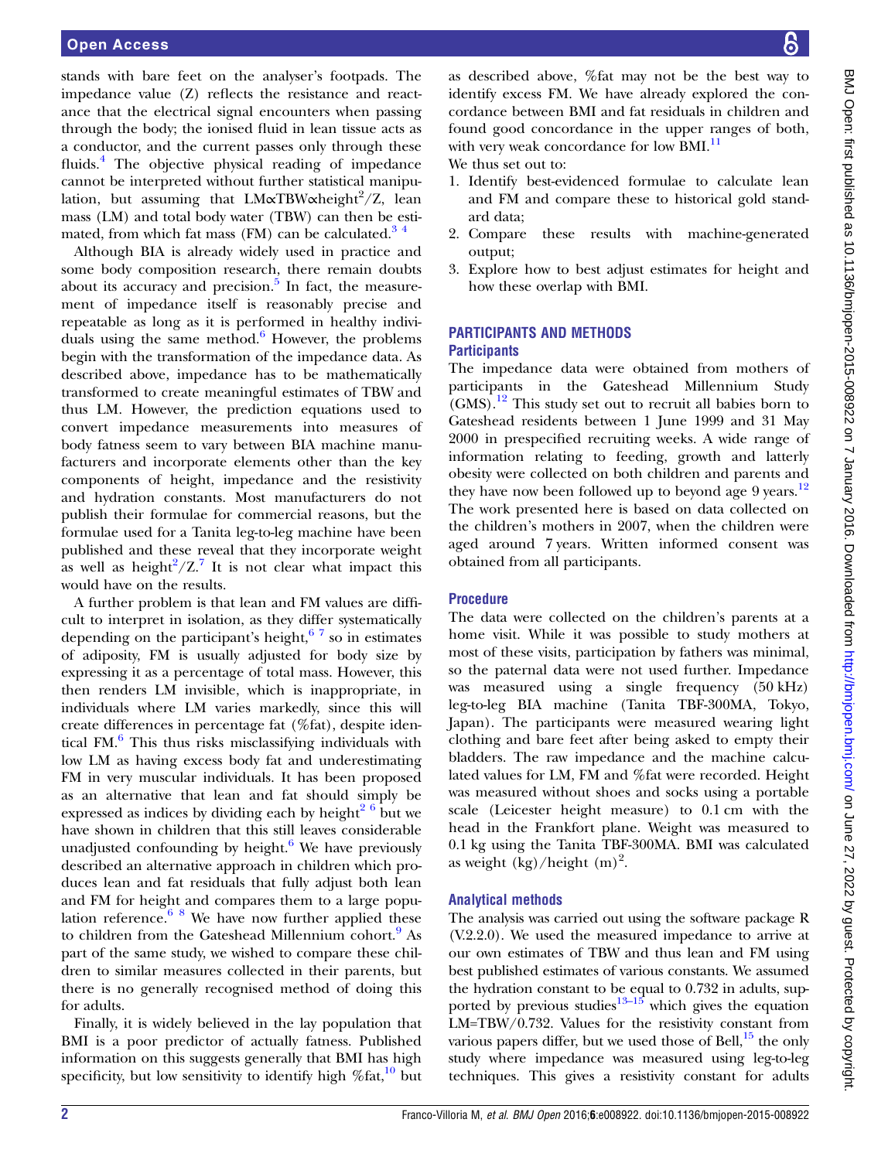stands with bare feet on the analyser's footpads. The impedance value (Z) reflects the resistance and reactance that the electrical signal encounters when passing through the body; the ionised fluid in lean tissue acts as a conductor, and the current passes only through these fluids.[4](#page-6-0) The objective physical reading of impedance cannot be interpreted without further statistical manipulation, but assuming that LM∝TBW∝height<sup>2</sup>/Z, lean mass (LM) and total body water (TBW) can then be estimated, from which fat mass (FM) can be calculated.<sup>34</sup>

Although BIA is already widely used in practice and some body composition research, there remain doubts about its accuracy and precision. $5$  In fact, the measurement of impedance itself is reasonably precise and repeatable as long as it is performed in healthy individuals using the same method. $6$  However, the problems begin with the transformation of the impedance data. As described above, impedance has to be mathematically transformed to create meaningful estimates of TBW and thus LM. However, the prediction equations used to convert impedance measurements into measures of body fatness seem to vary between BIA machine manufacturers and incorporate elements other than the key components of height, impedance and the resistivity and hydration constants. Most manufacturers do not publish their formulae for commercial reasons, but the formulae used for a Tanita leg-to-leg machine have been published and these reveal that they incorporate weight as well as height $2^7$  $2^7$  $2^7$  It is not clear what impact this would have on the results.

A further problem is that lean and FM values are difficult to interpret in isolation, as they differ systematically depending on the participant's height,  $6\frac{7}{3}$  so in estimates of adiposity, FM is usually adjusted for body size by expressing it as a percentage of total mass. However, this then renders LM invisible, which is inappropriate, in individuals where LM varies markedly, since this will create differences in percentage fat (%fat), despite identical FM $<sup>6</sup>$  $<sup>6</sup>$  $<sup>6</sup>$ . This thus risks misclassifying individuals with</sup> low LM as having excess body fat and underestimating FM in very muscular individuals. It has been proposed as an alternative that lean and fat should simply be expressed as indices by dividing each by height $2<sup>6</sup>$  but we have shown in children that this still leaves considerable unadjusted confounding by height. $6$  We have previously described an alternative approach in children which produces lean and fat residuals that fully adjust both lean and FM for height and compares them to a large population reference. $68$  We have now further applied these to children from the Gateshead Millennium cohort.<sup>[9](#page-6-0)</sup> As part of the same study, we wished to compare these children to similar measures collected in their parents, but there is no generally recognised method of doing this for adults.

Finally, it is widely believed in the lay population that BMI is a poor predictor of actually fatness. Published information on this suggests generally that BMI has high specificity, but low sensitivity to identify high  $%$  fat,  $10$  but

as described above, %fat may not be the best way to identify excess FM. We have already explored the concordance between BMI and fat residuals in children and found good concordance in the upper ranges of both, with very weak concordance for low BMI.<sup>[11](#page-6-0)</sup>

We thus set out to:

- 1. Identify best-evidenced formulae to calculate lean and FM and compare these to historical gold standard data;
- 2. Compare these results with machine-generated output;
- 3. Explore how to best adjust estimates for height and how these overlap with BMI.

# PARTICIPANTS AND METHODS **Participants**

The impedance data were obtained from mothers of participants in the Gateshead Millennium Study  $(GMS)$ .<sup>12</sup> This study set out to recruit all babies born to Gateshead residents between 1 June 1999 and 31 May 2000 in prespecified recruiting weeks. A wide range of information relating to feeding, growth and latterly obesity were collected on both children and parents and they have now been followed up to beyond age  $9 \text{ years.}^{12}$  $9 \text{ years.}^{12}$  $9 \text{ years.}^{12}$ The work presented here is based on data collected on the children's mothers in 2007, when the children were aged around 7 years. Written informed consent was obtained from all participants.

# Procedure

The data were collected on the children's parents at a home visit. While it was possible to study mothers at most of these visits, participation by fathers was minimal, so the paternal data were not used further. Impedance was measured using a single frequency (50 kHz) leg-to-leg BIA machine (Tanita TBF-300MA, Tokyo, Japan). The participants were measured wearing light clothing and bare feet after being asked to empty their bladders. The raw impedance and the machine calculated values for LM, FM and %fat were recorded. Height was measured without shoes and socks using a portable scale (Leicester height measure) to 0.1 cm with the head in the Frankfort plane. Weight was measured to 0.1 kg using the Tanita TBF-300MA. BMI was calculated as weight  $(kg)/height$  (m)<sup>2</sup>.

# Analytical methods

The analysis was carried out using the software package R (V.2.2.0). We used the measured impedance to arrive at our own estimates of TBW and thus lean and FM using best published estimates of various constants. We assumed the hydration constant to be equal to 0.732 in adults, sup-ported by previous studies<sup>[13](#page-6-0)–15</sup> which gives the equation LM=TBW/0.732. Values for the resistivity constant from various papers differ, but we used those of Bell, $^{15}$  the only study where impedance was measured using leg-to-leg techniques. This gives a resistivity constant for adults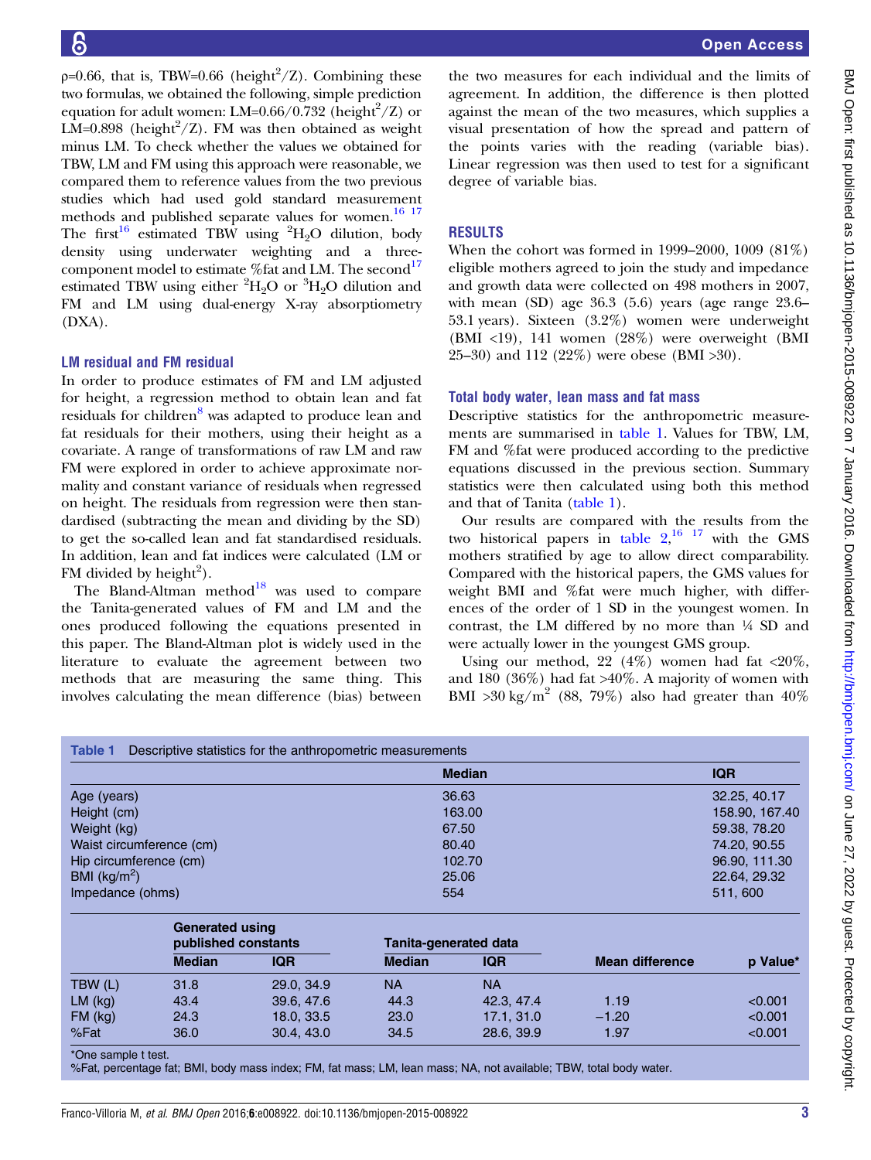$p=0.66$ , that is, TBW=0.66 (height<sup>2</sup>/Z). Combining these two formulas, we obtained the following, simple prediction equation for adult women: LM=0.66/0.732 (height $^2$ /Z) or  $LM=0.898$  (height<sup>2</sup>/Z). FM was then obtained as weight minus LM. To check whether the values we obtained for TBW, LM and FM using this approach were reasonable, we compared them to reference values from the two previous studies which had used gold standard measurement methods and published separate values for women. $16 \frac{17}{17}$ The first<sup>16</sup> estimated TBW using <sup>2</sup>H<sub>2</sub>O dilution, body density using underwater weighting and a threecomponent model to estimate %fat and LM. The second<sup>17</sup> estimated TBW using either  ${}^{2}H_{2}O$  or  ${}^{3}H_{2}O$  dilution and FM and LM using dual-energy X-ray absorptiometry (DXA).

# LM residual and FM residual

In order to produce estimates of FM and LM adjusted for height, a regression method to obtain lean and fat residuals for children<sup>[8](#page-6-0)</sup> was adapted to produce lean and fat residuals for their mothers, using their height as a covariate. A range of transformations of raw LM and raw FM were explored in order to achieve approximate normality and constant variance of residuals when regressed on height. The residuals from regression were then standardised (subtracting the mean and dividing by the SD) to get the so-called lean and fat standardised residuals. In addition, lean and fat indices were calculated (LM or FM divided by height<sup>2</sup>).

The Bland-Altman method $^{18}$  $^{18}$  $^{18}$  was used to compare the Tanita-generated values of FM and LM and the ones produced following the equations presented in this paper. The Bland-Altman plot is widely used in the literature to evaluate the agreement between two methods that are measuring the same thing. This involves calculating the mean difference (bias) between

the two measures for each individual and the limits of agreement. In addition, the difference is then plotted against the mean of the two measures, which supplies a visual presentation of how the spread and pattern of the points varies with the reading (variable bias). Linear regression was then used to test for a significant degree of variable bias.

# **RESULTS**

When the cohort was formed in 1999–2000, 1009 (81%) eligible mothers agreed to join the study and impedance and growth data were collected on 498 mothers in 2007, with mean (SD) age 36.3 (5.6) years (age range 23.6– 53.1 years). Sixteen (3.2%) women were underweight (BMI <19), 141 women (28%) were overweight (BMI 25–30) and 112 (22%) were obese (BMI >30).

# Total body water, lean mass and fat mass

Descriptive statistics for the anthropometric measurements are summarised in table 1. Values for TBW, LM, FM and %fat were produced according to the predictive equations discussed in the previous section. Summary statistics were then calculated using both this method and that of Tanita (table 1).

Our results are compared with the results from the two historical papers in table  $2^{16}$ ,  $17$  with the GMS mothers stratified by age to allow direct comparability. Compared with the historical papers, the GMS values for weight BMI and %fat were much higher, with differences of the order of 1 SD in the youngest women. In contrast, the LM differed by no more than ¼ SD and were actually lower in the youngest GMS group.

Using our method, 22 (4%) women had fat  $\langle 20\% \rangle$ , and 180 (36%) had fat >40%. A majority of women with BMI >30 kg/m<sup>2</sup> (88, 79%) also had greater than  $40\%$ 

|                          | <b>Median</b> | <b>IQR</b>     |
|--------------------------|---------------|----------------|
| Age (years)              | 36.63         | 32.25, 40.17   |
| Height (cm)              | 163.00        | 158.90, 167.40 |
| Weight (kg)              | 67.50         | 59.38, 78.20   |
| Waist circumference (cm) | 80.40         | 74.20, 90.55   |
| Hip circumference (cm)   | 102.70        | 96.90, 111.30  |
| BMI ( $\text{kg/m}^2$ )  | 25.06         | 22.64, 29.32   |
| Impedance (ohms)         | 554           | 511, 600       |

|           | <b>Generated using</b><br>published constants |            | Tanita-generated data |            |                        |          |  |
|-----------|-----------------------------------------------|------------|-----------------------|------------|------------------------|----------|--|
|           | <b>Median</b>                                 | <b>IQR</b> | <b>Median</b>         | <b>IQR</b> | <b>Mean difference</b> | p Value* |  |
| TBW (L)   | 31.8                                          | 29.0, 34.9 | <b>NA</b>             | <b>NA</b>  |                        |          |  |
| $LM$ (kg) | 43.4                                          | 39.6, 47.6 | 44.3                  | 42.3, 47.4 | 1.19                   | < 0.001  |  |
| $FM$ (kg) | 24.3                                          | 18.0, 33.5 | 23.0                  | 17.1, 31.0 | $-1.20$                | < 0.001  |  |
| $%$ Fat   | 36.0                                          | 30.4, 43.0 | 34.5                  | 28.6, 39.9 | 1.97                   | < 0.001  |  |

\*One sample t test.

%Fat, percentage fat; BMI, body mass index; FM, fat mass; LM, lean mass; NA, not available; TBW, total body water.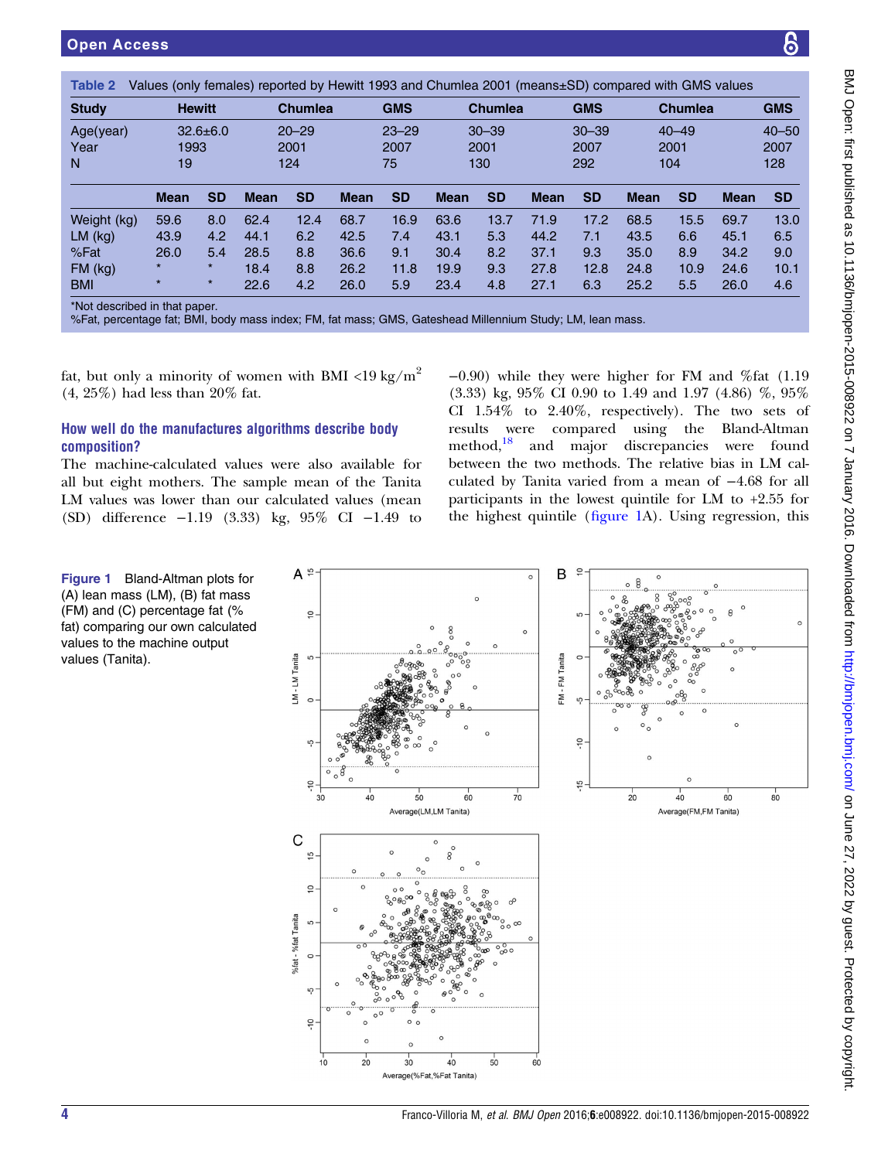<span id="page-3-0"></span>

| <b>Study</b> | <b>Hewitt</b> |                |             | <b>Chumlea</b> |             | <b>GMS</b> |             | <b>Chumlea</b> |             | <b>GMS</b> |             | <b>Chumlea</b> |             | <b>GMS</b> |
|--------------|---------------|----------------|-------------|----------------|-------------|------------|-------------|----------------|-------------|------------|-------------|----------------|-------------|------------|
|              |               |                |             |                |             |            |             |                |             |            |             |                |             |            |
| Age(year)    |               | $32.6 \pm 6.0$ |             | $20 - 29$      |             | $23 - 29$  |             | $30 - 39$      |             | $30 - 39$  |             | $40 - 49$      |             | $40 - 50$  |
| Year         | 1993          |                |             | 2001           |             | 2007       |             | 2001           |             | 2007       |             | 2001           |             | 2007       |
| N            | 19            |                |             | 124            |             | 75         |             | 130            |             | 292        |             | 104            |             | 128        |
|              |               |                |             |                |             |            |             |                |             |            |             |                |             |            |
|              | <b>Mean</b>   | <b>SD</b>      | <b>Mean</b> | <b>SD</b>      | <b>Mean</b> | <b>SD</b>  | <b>Mean</b> | <b>SD</b>      | <b>Mean</b> | <b>SD</b>  | <b>Mean</b> | <b>SD</b>      | <b>Mean</b> | <b>SD</b>  |
| Weight (kg)  | 59.6          | 8.0            | 62.4        | 12.4           | 68.7        | 16.9       | 63.6        | 13.7           | 71.9        | 17.2       | 68.5        | 15.5           | 69.7        | 13.0       |
| LM (kg)      | 43.9          | 4.2            | 44.1        | 6.2            | 42.5        | 7.4        | 43.1        | 5.3            | 44.2        | 7.1        | 43.5        | 6.6            | 45.1        | 6.5        |
| $%$ Fat      | 26.0          | 5.4            | 28.5        | 8.8            | 36.6        | 9.1        | 30.4        | 8.2            | 37.1        | 9.3        | 35.0        | 8.9            | 34.2        | 9.0        |
| $FM$ (kg)    |               | $\star$        | 18.4        | 8.8            | 26.2        | 11.8       | 19.9        | 9.3            | 27.8        | 12.8       | 24.8        | 10.9           | 24.6        | 10.1       |
| <b>BMI</b>   | $\star$       | $\star$        | 22.6        | 4.2            | 26.0        | 5.9        | 23.4        | 4.8            | 27.1        | 6.3        | 25.2        | 5.5            | 26.0        | 4.6        |

\*Not described in that paper.

%Fat, percentage fat; BMI, body mass index; FM, fat mass; GMS, Gateshead Millennium Study; LM, lean mass.

fat, but only a minority of women with BMI <19 kg/m<sup>2</sup> (4, 25%) had less than 20% fat.

# How well do the manufactures algorithms describe body composition?

The machine-calculated values were also available for all but eight mothers. The sample mean of the Tanita LM values was lower than our calculated values (mean (SD) difference −1.19 (3.33) kg, 95% CI −1.49 to

A ⊕

−0.90) while they were higher for FM and %fat (1.19 (3.33) kg, 95% CI 0.90 to 1.49 and 1.97 (4.86) %, 95% CI 1.54% to 2.40%, respectively). The two sets of results were compared using the Bland-Altman<br>method,<sup>18</sup> and major discrepancies were found and major discrepancies were found between the two methods. The relative bias in LM calculated by Tanita varied from a mean of −4.68 for all participants in the lowest quintile for LM to +2.55 for the highest quintile (figure 1A). Using regression, this

Figure 1 Bland-Altman plots for (A) lean mass (LM), (B) fat mass (FM) and (C) percentage fat (% fat) comparing our own calculated values to the machine output values (Tanita).

## $\frac{1}{2}$  $-M - LM$  Tanita FM - FM Tanita  $\sim$  $-10$ u,  $\ddot{\circ}$  $\frac{6}{1}$  $60$  $\frac{1}{70}$  $\frac{1}{20}$  $40^{-}$  $60$  $\frac{1}{40}$  $50^{\circ}$  $\overline{80}$ Average(LM,LM Tanita) Average(FM,FM Tanita)  $\mathsf{C}$  $\Omega$  $\frac{1}{2}$  $\overline{C}$ %fat - %fat Tanita  $\overline{16}$ ယ္  $\ddot{0}$  $\frac{1}{30}$  $40$  $10$  $\dot{20}$  $50$ бĊ Average(%Fat,%Fat Tanita)

B  $\subseteq$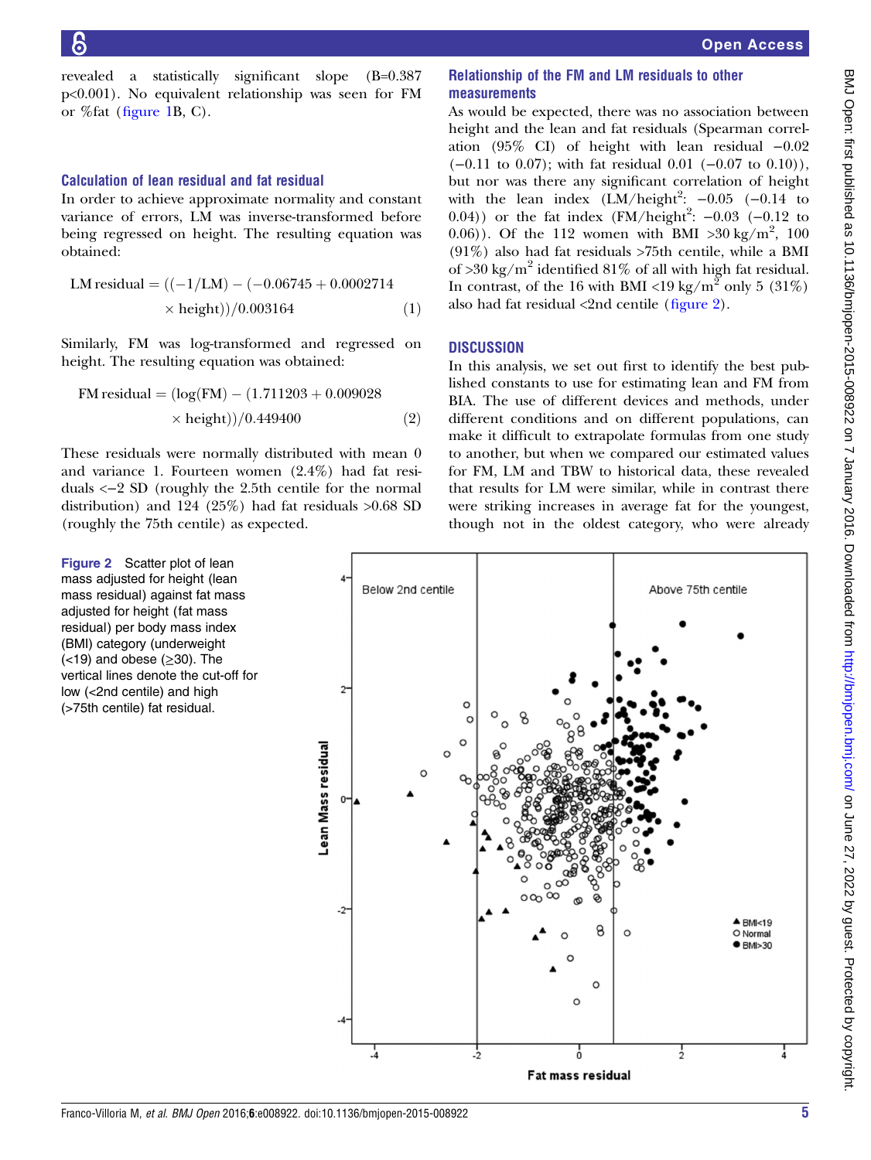revealed a statistically significant slope (B=0.387 p<0.001). No equivalent relationship was seen for FM or %fat (fi[gure 1](#page-3-0)B, C).

## Calculation of lean residual and fat residual

In order to achieve approximate normality and constant variance of errors, LM was inverse-transformed before being regressed on height. The resulting equation was obtained:

$$
LM residual = ((-1/LM) - (-0.06745 + 0.0002714
$$
  
× height))/(0.003164 (1)

Similarly, FM was log-transformed and regressed on height. The resulting equation was obtained:

$$
FM residual = (log(FM) - (1.711203 + 0.009028
$$

$$
\times height)/(0.449400
$$
 (2)

These residuals were normally distributed with mean 0 and variance 1. Fourteen women (2.4%) had fat residuals <−2 SD (roughly the 2.5th centile for the normal distribution) and 124 (25%) had fat residuals >0.68 SD (roughly the 75th centile) as expected.

Figure 2 Scatter plot of lean mass adjusted for height (lean mass residual) against fat mass adjusted for height (fat mass residual) per body mass index (BMI) category (underweight  $(<19)$  and obese ( $\geq$ 30). The vertical lines denote the cut-off for low (<2nd centile) and high (>75th centile) fat residual.

# Relationship of the FM and LM residuals to other measurements

As would be expected, there was no association between height and the lean and fat residuals (Spearman correlation (95% CI) of height with lean residual −0.02 (−0.11 to 0.07); with fat residual 0.01 (−0.07 to 0.10)), but nor was there any significant correlation of height with the lean index  $(LM/height^2: -0.05 (-0.14)$  to 0.04)) or the fat index  $(FM/height^2: -0.03 (-0.12)$ 0.06)). Of the 112 women with BMI > 30 kg/m<sup>2</sup>, 100  $(91\%)$  also had fat residuals  $>75$ th centile, while a BMI of  $>30 \text{ kg/m}^2$  identified 81% of all with high fat residual. In contrast, of the 16 with BMI <19 kg/m<sup>2</sup> only 5 (31%) also had fat residual <2nd centile (figure 2).

## **DISCUSSION**

In this analysis, we set out first to identify the best published constants to use for estimating lean and FM from BIA. The use of different devices and methods, under different conditions and on different populations, can make it difficult to extrapolate formulas from one study to another, but when we compared our estimated values for FM, LM and TBW to historical data, these revealed that results for LM were similar, while in contrast there were striking increases in average fat for the youngest, though not in the oldest category, who were already

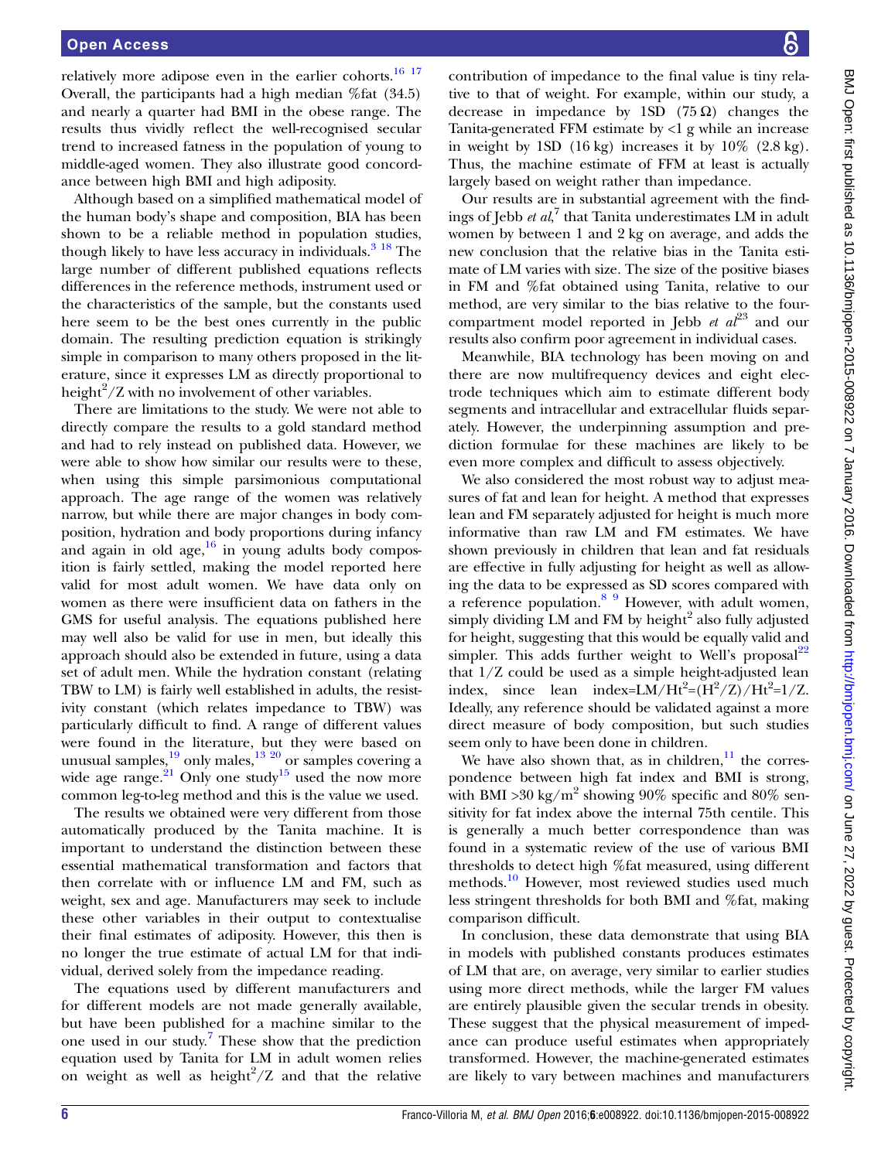relatively more adipose even in the earlier cohorts. $16 \frac{16}{17}$ Overall, the participants had a high median %fat (34.5) and nearly a quarter had BMI in the obese range. The results thus vividly reflect the well-recognised secular trend to increased fatness in the population of young to middle-aged women. They also illustrate good concordance between high BMI and high adiposity.

Although based on a simplified mathematical model of the human body's shape and composition, BIA has been shown to be a reliable method in population studies, though likely to have less accuracy in individuals.<sup>3</sup> <sup>18</sup> The large number of different published equations reflects differences in the reference methods, instrument used or the characteristics of the sample, but the constants used here seem to be the best ones currently in the public domain. The resulting prediction equation is strikingly simple in comparison to many others proposed in the literature, since it expresses LM as directly proportional to height $\mathrm{^{2}/Z}$  with no involvement of other variables.

There are limitations to the study. We were not able to directly compare the results to a gold standard method and had to rely instead on published data. However, we were able to show how similar our results were to these, when using this simple parsimonious computational approach. The age range of the women was relatively narrow, but while there are major changes in body composition, hydration and body proportions during infancy and again in old  $age<sub>16</sub>$  $age<sub>16</sub>$  $age<sub>16</sub>$  in young adults body composition is fairly settled, making the model reported here valid for most adult women. We have data only on women as there were insufficient data on fathers in the GMS for useful analysis. The equations published here may well also be valid for use in men, but ideally this approach should also be extended in future, using a data set of adult men. While the hydration constant (relating TBW to LM) is fairly well established in adults, the resistivity constant (which relates impedance to TBW) was particularly difficult to find. A range of different values were found in the literature, but they were based on unusual samples,<sup>[19](#page-6-0)</sup> only males,<sup>13-20</sup> or samples covering a wide age range.<sup>[21](#page-6-0)</sup> Only one study<sup>[15](#page-6-0)</sup> used the now more common leg-to-leg method and this is the value we used.

The results we obtained were very different from those automatically produced by the Tanita machine. It is important to understand the distinction between these essential mathematical transformation and factors that then correlate with or influence LM and FM, such as weight, sex and age. Manufacturers may seek to include these other variables in their output to contextualise their final estimates of adiposity. However, this then is no longer the true estimate of actual LM for that individual, derived solely from the impedance reading.

The equations used by different manufacturers and for different models are not made generally available, but have been published for a machine similar to the one used in our study.[7](#page-6-0) These show that the prediction equation used by Tanita for LM in adult women relies on weight as well as height $2/Z$  and that the relative

contribution of impedance to the final value is tiny relative to that of weight. For example, within our study, a decrease in impedance by 1SD (75  $\Omega$ ) changes the Tanita-generated FFM estimate by <1 g while an increase in weight by 1SD (16 kg) increases it by 10% (2.8 kg). Thus, the machine estimate of FFM at least is actually largely based on weight rather than impedance.

Our results are in substantial agreement with the findings of Jebb et al,<sup>7</sup> that Tanita underestimates LM in adult women by between 1 and 2 kg on average, and adds the new conclusion that the relative bias in the Tanita estimate of LM varies with size. The size of the positive biases in FM and %fat obtained using Tanita, relative to our method, are very similar to the bias relative to the fourcompartment model reported in Jebb et  $al^{23}$  and our results also confirm poor agreement in individual cases.

Meanwhile, BIA technology has been moving on and there are now multifrequency devices and eight electrode techniques which aim to estimate different body segments and intracellular and extracellular fluids separately. However, the underpinning assumption and prediction formulae for these machines are likely to be even more complex and difficult to assess objectively.

We also considered the most robust way to adjust measures of fat and lean for height. A method that expresses lean and FM separately adjusted for height is much more informative than raw LM and FM estimates. We have shown previously in children that lean and fat residuals are effective in fully adjusting for height as well as allowing the data to be expressed as SD scores compared with a reference population.<sup>[8 9](#page-6-0)</sup> However, with adult women, simply dividing LM and FM by height<sup>2</sup> also fully adjusted for height, suggesting that this would be equally valid and simpler. This adds further weight to Well's proposal<sup>[22](#page-6-0)</sup> that 1/Z could be used as a simple height-adjusted lean index, since lean index=LM/Ht<sup>2</sup>=( $\text{H}^2$ /Z)/Ht<sup>2</sup>=1/Z. Ideally, any reference should be validated against a more direct measure of body composition, but such studies seem only to have been done in children.

We have also shown that, as in children, $11$  the correspondence between high fat index and BMI is strong, with BMI >30 kg/m<sup>2</sup> showing 90% specific and 80% sensitivity for fat index above the internal 75th centile. This is generally a much better correspondence than was found in a systematic review of the use of various BMI thresholds to detect high %fat measured, using different methods.<sup>[10](#page-6-0)</sup> However, most reviewed studies used much less stringent thresholds for both BMI and %fat, making comparison difficult.

In conclusion, these data demonstrate that using BIA in models with published constants produces estimates of LM that are, on average, very similar to earlier studies using more direct methods, while the larger FM values are entirely plausible given the secular trends in obesity. These suggest that the physical measurement of impedance can produce useful estimates when appropriately transformed. However, the machine-generated estimates are likely to vary between machines and manufacturers